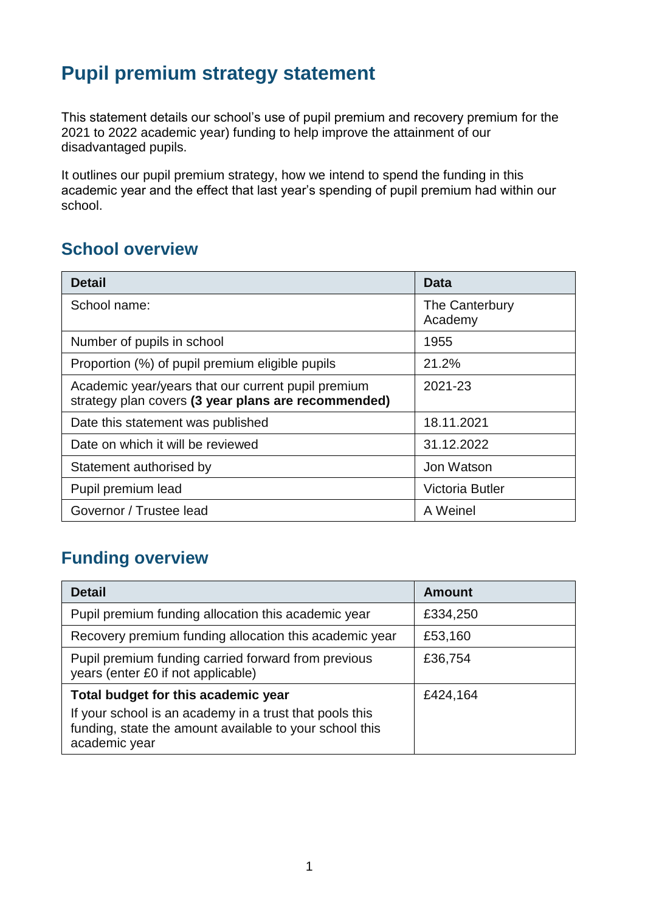## **Pupil premium strategy statement**

This statement details our school's use of pupil premium and recovery premium for the 2021 to 2022 academic year) funding to help improve the attainment of our disadvantaged pupils.

It outlines our pupil premium strategy, how we intend to spend the funding in this academic year and the effect that last year's spending of pupil premium had within our school.

#### **School overview**

| <b>Detail</b>                                                                                             | Data                      |
|-----------------------------------------------------------------------------------------------------------|---------------------------|
| School name:                                                                                              | The Canterbury<br>Academy |
| Number of pupils in school                                                                                | 1955                      |
| Proportion (%) of pupil premium eligible pupils                                                           | 21.2%                     |
| Academic year/years that our current pupil premium<br>strategy plan covers (3 year plans are recommended) | 2021-23                   |
| Date this statement was published                                                                         | 18.11.2021                |
| Date on which it will be reviewed                                                                         | 31.12.2022                |
| Statement authorised by                                                                                   | Jon Watson                |
| Pupil premium lead                                                                                        | <b>Victoria Butler</b>    |
| Governor / Trustee lead                                                                                   | A Weinel                  |

### **Funding overview**

| <b>Detail</b>                                                                                                                       | <b>Amount</b> |
|-------------------------------------------------------------------------------------------------------------------------------------|---------------|
| Pupil premium funding allocation this academic year                                                                                 | £334,250      |
| Recovery premium funding allocation this academic year                                                                              | £53,160       |
| Pupil premium funding carried forward from previous<br>years (enter £0 if not applicable)                                           | £36,754       |
| Total budget for this academic year                                                                                                 | £424,164      |
| If your school is an academy in a trust that pools this<br>funding, state the amount available to your school this<br>academic year |               |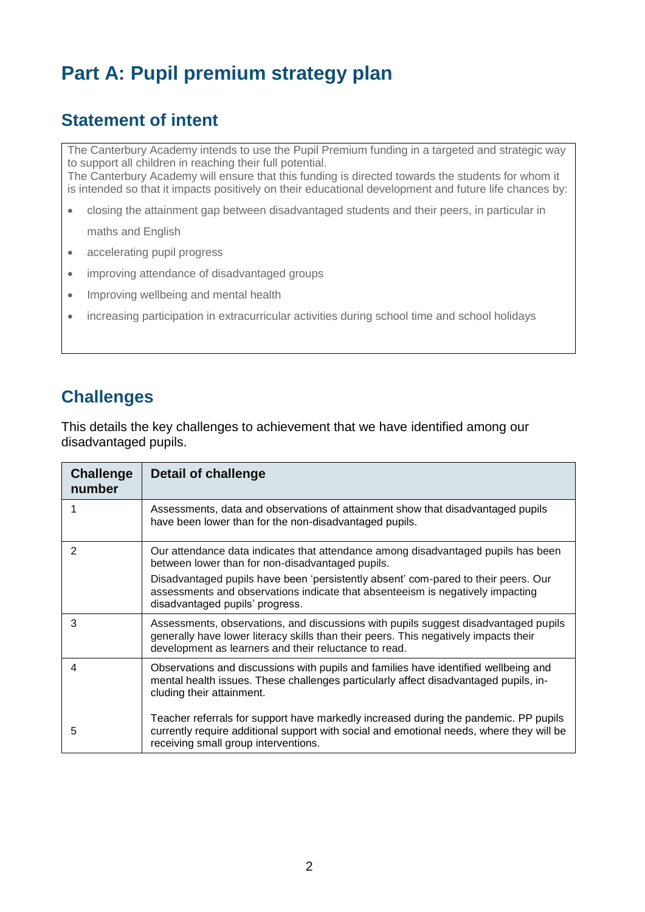# **Part A: Pupil premium strategy plan**

#### **Statement of intent**

The Canterbury Academy intends to use the Pupil Premium funding in a targeted and strategic way to support all children in reaching their full potential. The Canterbury Academy will ensure that this funding is directed towards the students for whom it is intended so that it impacts positively on their educational development and future life chances by:

- closing the attainment gap between disadvantaged students and their peers, in particular in maths and English
- accelerating pupil progress
- improving attendance of disadvantaged groups
- Improving wellbeing and mental health
- increasing participation in extracurricular activities during school time and school holidays

#### **Challenges**

This details the key challenges to achievement that we have identified among our disadvantaged pupils.

| <b>Challenge</b><br>number | Detail of challenge                                                                                                                                                                                                                  |
|----------------------------|--------------------------------------------------------------------------------------------------------------------------------------------------------------------------------------------------------------------------------------|
|                            | Assessments, data and observations of attainment show that disadvantaged pupils<br>have been lower than for the non-disadvantaged pupils.                                                                                            |
| 2                          | Our attendance data indicates that attendance among disadvantaged pupils has been<br>between lower than for non-disadvantaged pupils.                                                                                                |
|                            | Disadvantaged pupils have been 'persistently absent' com-pared to their peers. Our<br>assessments and observations indicate that absenteeism is negatively impacting<br>disadvantaged pupils' progress.                              |
| 3                          | Assessments, observations, and discussions with pupils suggest disadvantaged pupils<br>generally have lower literacy skills than their peers. This negatively impacts their<br>development as learners and their reluctance to read. |
| 4                          | Observations and discussions with pupils and families have identified wellbeing and<br>mental health issues. These challenges particularly affect disadvantaged pupils, in-<br>cluding their attainment.                             |
| 5                          | Teacher referrals for support have markedly increased during the pandemic. PP pupils<br>currently require additional support with social and emotional needs, where they will be<br>receiving small group interventions.             |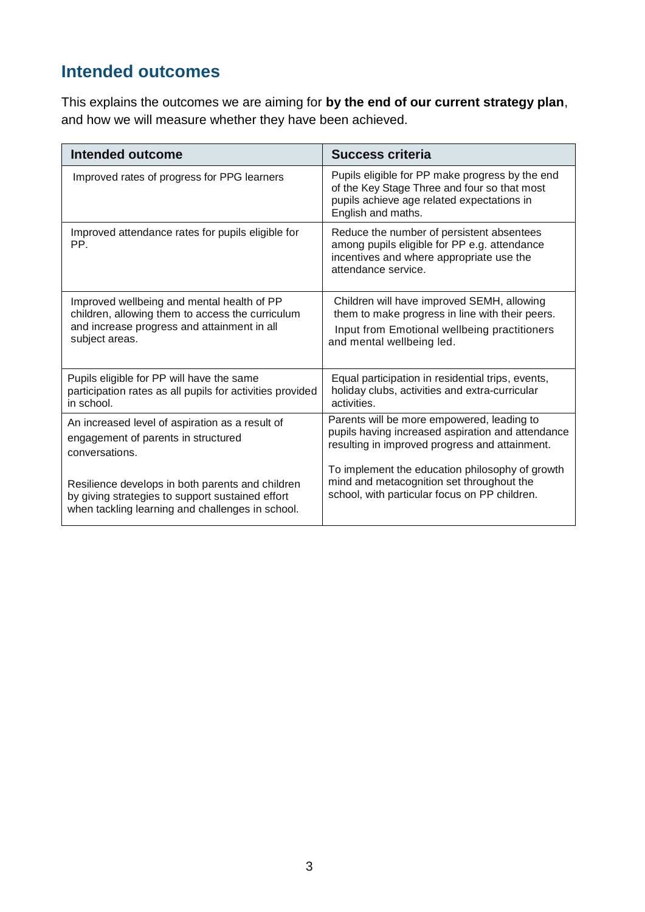## **Intended outcomes**

This explains the outcomes we are aiming for **by the end of our current strategy plan**, and how we will measure whether they have been achieved.

| <b>Intended outcome</b>                                   | <b>Success criteria</b>                                                                                                                                             |
|-----------------------------------------------------------|---------------------------------------------------------------------------------------------------------------------------------------------------------------------|
| Improved rates of progress for PPG learners               | Pupils eligible for PP make progress by the end<br>of the Key Stage Three and four so that most<br>pupils achieve age related expectations in<br>English and maths. |
| Improved attendance rates for pupils eligible for<br>PP.  | Reduce the number of persistent absentees<br>among pupils eligible for PP e.g. attendance<br>incentives and where appropriate use the<br>attendance service.        |
| Improved wellbeing and mental health of PP                | Children will have improved SEMH, allowing                                                                                                                          |
| children, allowing them to access the curriculum          | them to make progress in line with their peers.                                                                                                                     |
| and increase progress and attainment in all               | Input from Emotional wellbeing practitioners                                                                                                                        |
| subject areas.                                            | and mental wellbeing led.                                                                                                                                           |
| Pupils eligible for PP will have the same                 | Equal participation in residential trips, events,                                                                                                                   |
| participation rates as all pupils for activities provided | holiday clubs, activities and extra-curricular                                                                                                                      |
| in school.                                                | activities.                                                                                                                                                         |
| An increased level of aspiration as a result of           | Parents will be more empowered, leading to                                                                                                                          |
| engagement of parents in structured                       | pupils having increased aspiration and attendance                                                                                                                   |
| conversations.                                            | resulting in improved progress and attainment.                                                                                                                      |
| Resilience develops in both parents and children          | To implement the education philosophy of growth                                                                                                                     |
| by giving strategies to support sustained effort          | mind and metacognition set throughout the                                                                                                                           |
| when tackling learning and challenges in school.          | school, with particular focus on PP children.                                                                                                                       |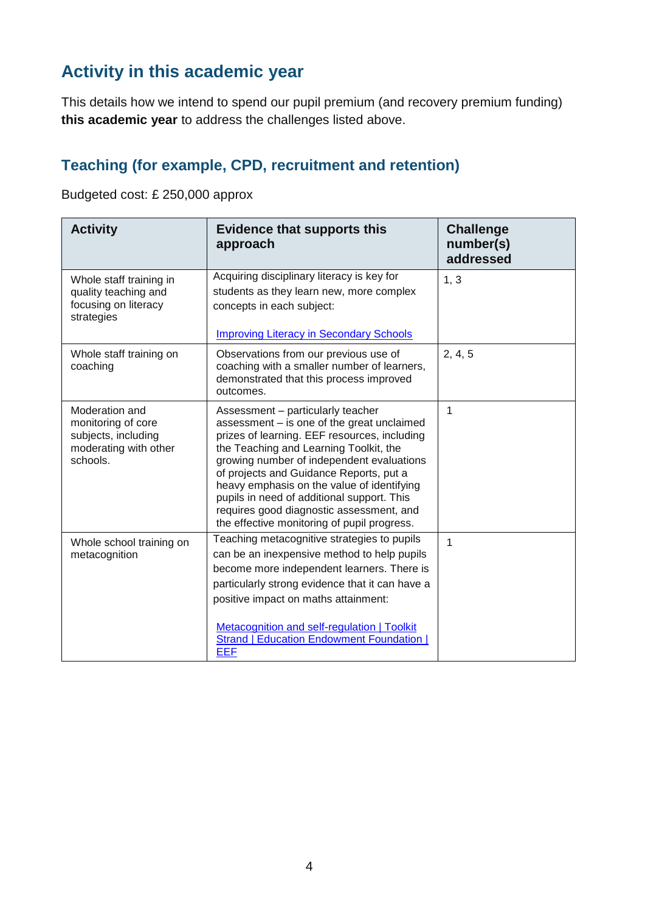## **Activity in this academic year**

This details how we intend to spend our pupil premium (and recovery premium funding) **this academic year** to address the challenges listed above.

#### **Teaching (for example, CPD, recruitment and retention)**

Budgeted cost: £ 250,000 approx

| <b>Activity</b>                                                                                  | <b>Evidence that supports this</b><br>approach                                                                                                                                                                                                                                                                                                                                                                                                           | <b>Challenge</b><br>number(s)<br>addressed |
|--------------------------------------------------------------------------------------------------|----------------------------------------------------------------------------------------------------------------------------------------------------------------------------------------------------------------------------------------------------------------------------------------------------------------------------------------------------------------------------------------------------------------------------------------------------------|--------------------------------------------|
| Whole staff training in<br>quality teaching and<br>focusing on literacy<br>strategies            | Acquiring disciplinary literacy is key for<br>students as they learn new, more complex<br>concepts in each subject:<br><b>Improving Literacy in Secondary Schools</b>                                                                                                                                                                                                                                                                                    | 1, 3                                       |
| Whole staff training on<br>coaching                                                              | Observations from our previous use of<br>coaching with a smaller number of learners,<br>demonstrated that this process improved<br>outcomes.                                                                                                                                                                                                                                                                                                             | 2, 4, 5                                    |
| Moderation and<br>monitoring of core<br>subjects, including<br>moderating with other<br>schools. | Assessment - particularly teacher<br>assessment - is one of the great unclaimed<br>prizes of learning. EEF resources, including<br>the Teaching and Learning Toolkit, the<br>growing number of independent evaluations<br>of projects and Guidance Reports, put a<br>heavy emphasis on the value of identifying<br>pupils in need of additional support. This<br>requires good diagnostic assessment, and<br>the effective monitoring of pupil progress. | 1                                          |
| Whole school training on<br>metacognition                                                        | Teaching metacognitive strategies to pupils<br>can be an inexpensive method to help pupils<br>become more independent learners. There is<br>particularly strong evidence that it can have a<br>positive impact on maths attainment:<br>Metacognition and self-regulation   Toolkit<br><b>Strand   Education Endowment Foundation  </b><br><b>EEF</b>                                                                                                     | $\mathbf{1}$                               |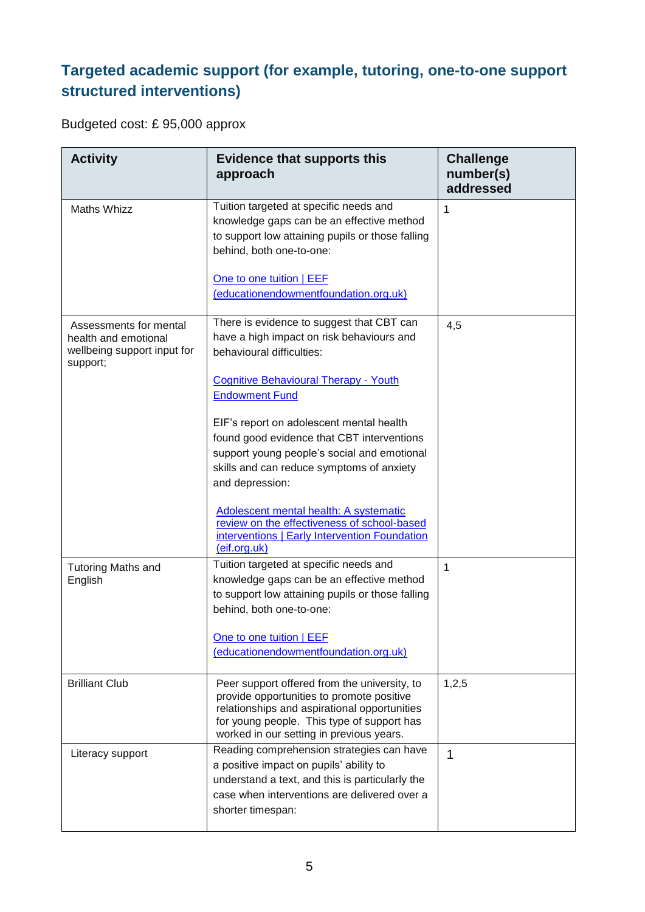## **Targeted academic support (for example, tutoring, one-to-one support structured interventions)**

Budgeted cost: £ 95,000 approx

| <b>Activity</b>                                                                           | <b>Evidence that supports this</b><br>approach                                                                                                                                                                                                                                                                                                                  | <b>Challenge</b><br>number(s)<br>addressed |
|-------------------------------------------------------------------------------------------|-----------------------------------------------------------------------------------------------------------------------------------------------------------------------------------------------------------------------------------------------------------------------------------------------------------------------------------------------------------------|--------------------------------------------|
| <b>Maths Whizz</b>                                                                        | Tuition targeted at specific needs and<br>knowledge gaps can be an effective method<br>to support low attaining pupils or those falling<br>behind, both one-to-one:                                                                                                                                                                                             | 1                                          |
|                                                                                           | One to one tuition   EEF<br>(educationendowmentfoundation.org.uk)                                                                                                                                                                                                                                                                                               |                                            |
| Assessments for mental<br>health and emotional<br>wellbeing support input for<br>support; | There is evidence to suggest that CBT can<br>have a high impact on risk behaviours and<br>behavioural difficulties:<br><b>Cognitive Behavioural Therapy - Youth</b><br><b>Endowment Fund</b>                                                                                                                                                                    | 4,5                                        |
|                                                                                           | EIF's report on adolescent mental health<br>found good evidence that CBT interventions<br>support young people's social and emotional<br>skills and can reduce symptoms of anxiety<br>and depression:<br>Adolescent mental health: A systematic<br>review on the effectiveness of school-based<br>interventions   Early Intervention Foundation<br>(eif.org.uk) |                                            |
| <b>Tutoring Maths and</b><br>English                                                      | Tuition targeted at specific needs and<br>knowledge gaps can be an effective method<br>to support low attaining pupils or those falling<br>behind, both one-to-one:<br>One to one tuition   EEF<br>(educationendowmentfoundation.org.uk)                                                                                                                        | 1                                          |
| <b>Brilliant Club</b>                                                                     | Peer support offered from the university, to<br>provide opportunities to promote positive<br>relationships and aspirational opportunities<br>for young people. This type of support has<br>worked in our setting in previous years.                                                                                                                             | 1,2,5                                      |
| Literacy support                                                                          | Reading comprehension strategies can have<br>a positive impact on pupils' ability to<br>understand a text, and this is particularly the<br>case when interventions are delivered over a<br>shorter timespan:                                                                                                                                                    | 1                                          |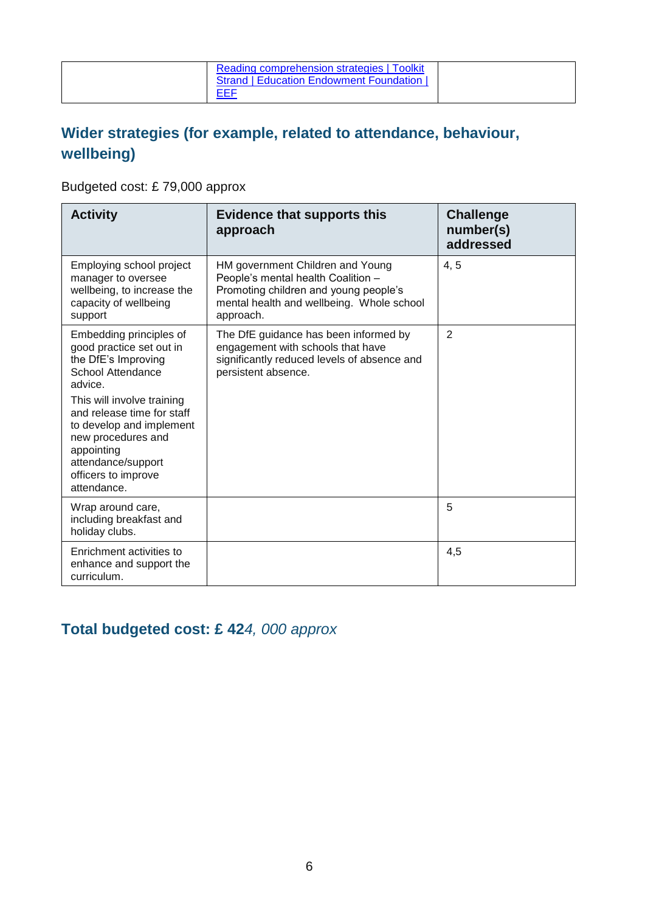| Reading comprehension strategies   Toolkit<br><b>Strand   Education Endowment Foundation  </b> |
|------------------------------------------------------------------------------------------------|
| EEF                                                                                            |

### **Wider strategies (for example, related to attendance, behaviour, wellbeing)**

Budgeted cost: £ 79,000 approx

| <b>Activity</b>                                                                                                                                                                      | <b>Evidence that supports this</b><br>approach                                                                                                                            | <b>Challenge</b><br>number(s)<br>addressed |
|--------------------------------------------------------------------------------------------------------------------------------------------------------------------------------------|---------------------------------------------------------------------------------------------------------------------------------------------------------------------------|--------------------------------------------|
| Employing school project<br>manager to oversee<br>wellbeing, to increase the<br>capacity of wellbeing<br>support                                                                     | HM government Children and Young<br>People's mental health Coalition -<br>Promoting children and young people's<br>mental health and wellbeing. Whole school<br>approach. | 4, 5                                       |
| Embedding principles of<br>good practice set out in<br>the DfE's Improving<br>School Attendance<br>advice.                                                                           | The DfE guidance has been informed by<br>engagement with schools that have<br>significantly reduced levels of absence and<br>persistent absence.                          | 2                                          |
| This will involve training<br>and release time for staff<br>to develop and implement<br>new procedures and<br>appointing<br>attendance/support<br>officers to improve<br>attendance. |                                                                                                                                                                           |                                            |
| Wrap around care,<br>including breakfast and<br>holiday clubs.                                                                                                                       |                                                                                                                                                                           | 5                                          |
| Enrichment activities to<br>enhance and support the<br>curriculum.                                                                                                                   |                                                                                                                                                                           | 4,5                                        |

#### **Total budgeted cost: £ 42***4, 000 approx*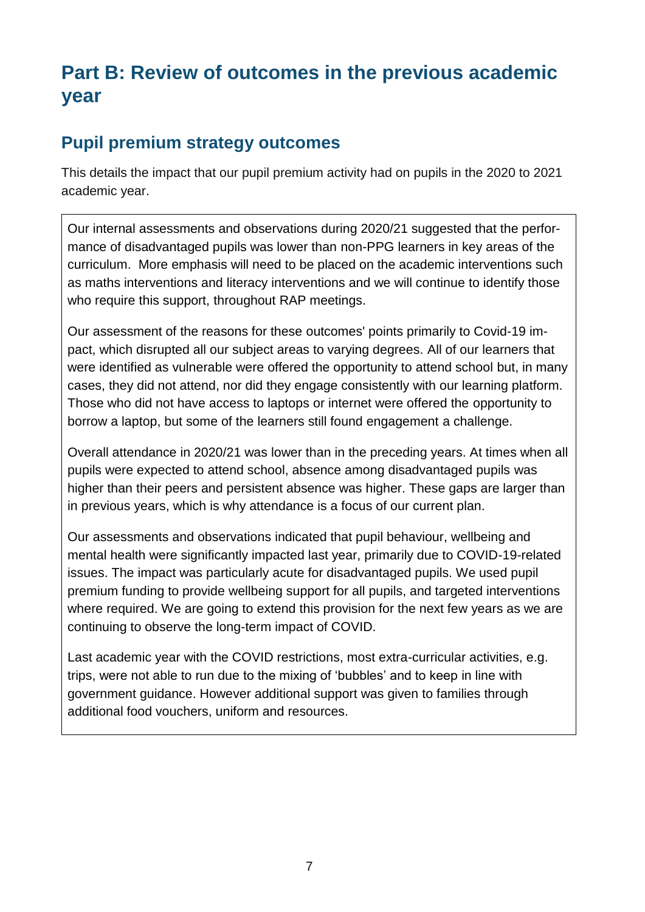## **Part B: Review of outcomes in the previous academic year**

#### **Pupil premium strategy outcomes**

This details the impact that our pupil premium activity had on pupils in the 2020 to 2021 academic year.

Our internal assessments and observations during 2020/21 suggested that the performance of disadvantaged pupils was lower than non-PPG learners in key areas of the curriculum. More emphasis will need to be placed on the academic interventions such as maths interventions and literacy interventions and we will continue to identify those who require this support, throughout RAP meetings.

Our assessment of the reasons for these outcomes' points primarily to Covid-19 impact, which disrupted all our subject areas to varying degrees. All of our learners that were identified as vulnerable were offered the opportunity to attend school but, in many cases, they did not attend, nor did they engage consistently with our learning platform. Those who did not have access to laptops or internet were offered the opportunity to borrow a laptop, but some of the learners still found engagement a challenge.

Overall attendance in 2020/21 was lower than in the preceding years. At times when all pupils were expected to attend school, absence among disadvantaged pupils was higher than their peers and persistent absence was higher. These gaps are larger than in previous years, which is why attendance is a focus of our current plan.

Our assessments and observations indicated that pupil behaviour, wellbeing and mental health were significantly impacted last year, primarily due to COVID-19-related issues. The impact was particularly acute for disadvantaged pupils. We used pupil premium funding to provide wellbeing support for all pupils, and targeted interventions where required. We are going to extend this provision for the next few years as we are continuing to observe the long-term impact of COVID.

Last academic year with the COVID restrictions, most extra-curricular activities, e.g. trips, were not able to run due to the mixing of 'bubbles' and to keep in line with government guidance. However additional support was given to families through additional food vouchers, uniform and resources.